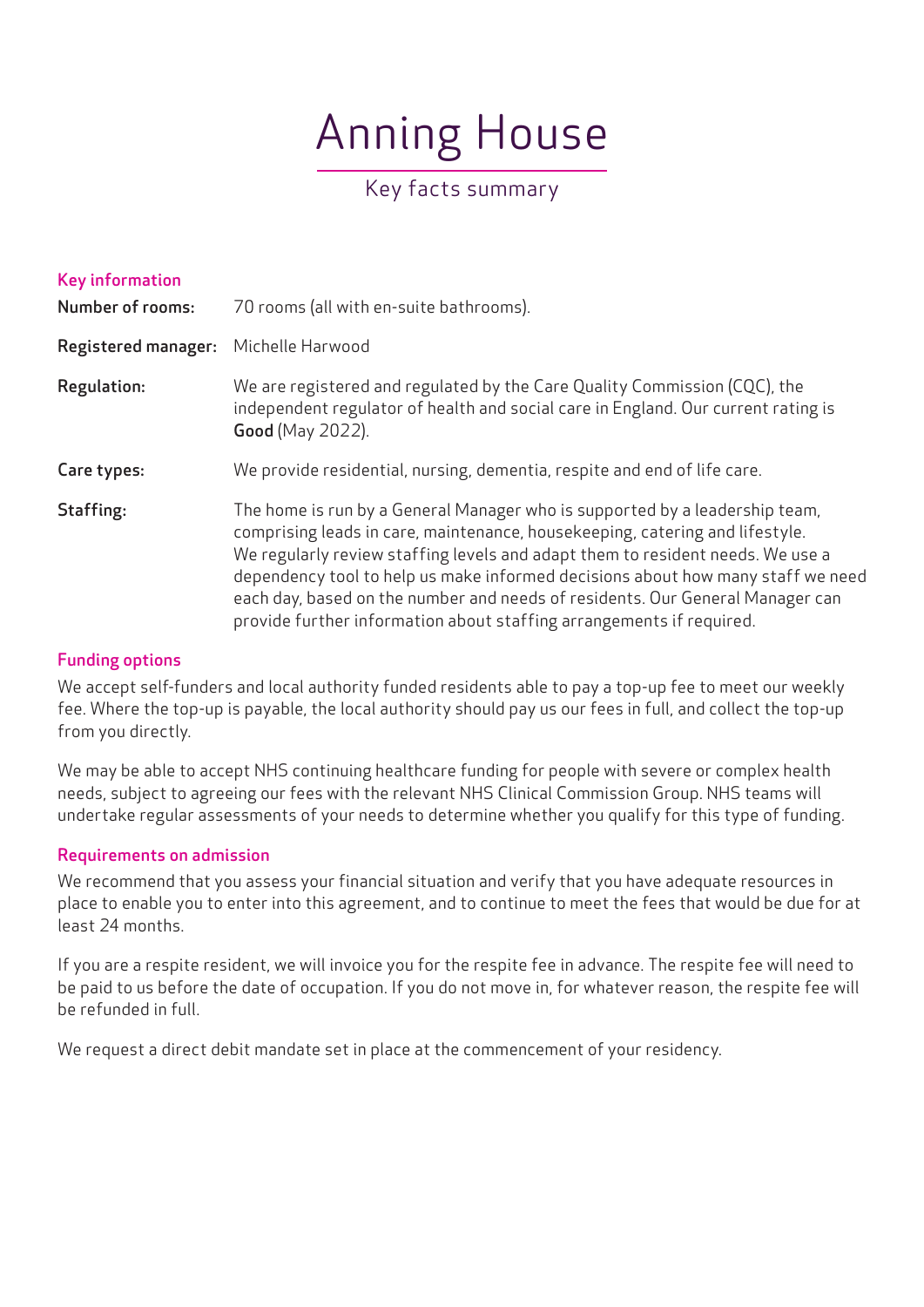# Anning House

# Key facts summary

| <b>Key information</b><br><b>Number of rooms:</b> | 70 rooms (all with en-suite bathrooms).                                                                                                                                                                                                                                                                                                                                                                                                                                                   |
|---------------------------------------------------|-------------------------------------------------------------------------------------------------------------------------------------------------------------------------------------------------------------------------------------------------------------------------------------------------------------------------------------------------------------------------------------------------------------------------------------------------------------------------------------------|
| <b>Registered manager:</b>                        | Michelle Harwood                                                                                                                                                                                                                                                                                                                                                                                                                                                                          |
| Regulation:                                       | We are registered and regulated by the Care Quality Commission (CQC), the<br>independent regulator of health and social care in England. Our current rating is<br><b>Good</b> (May 2022).                                                                                                                                                                                                                                                                                                 |
| Care types:                                       | We provide residential, nursing, dementia, respite and end of life care.                                                                                                                                                                                                                                                                                                                                                                                                                  |
| Staffing:                                         | The home is run by a General Manager who is supported by a leadership team,<br>comprising leads in care, maintenance, housekeeping, catering and lifestyle.<br>We regularly review staffing levels and adapt them to resident needs. We use a<br>dependency tool to help us make informed decisions about how many staff we need<br>each day, based on the number and needs of residents. Our General Manager can<br>provide further information about staffing arrangements if required. |

### Funding options

We accept self-funders and local authority funded residents able to pay a top-up fee to meet our weekly fee. Where the top-up is payable, the local authority should pay us our fees in full, and collect the top-up from you directly.

We may be able to accept NHS continuing healthcare funding for people with severe or complex health needs, subject to agreeing our fees with the relevant NHS Clinical Commission Group. NHS teams will undertake regular assessments of your needs to determine whether you qualify for this type of funding.

# Requirements on admission

We recommend that you assess your financial situation and verify that you have adequate resources in place to enable you to enter into this agreement, and to continue to meet the fees that would be due for at least 24 months.

If you are a respite resident, we will invoice you for the respite fee in advance. The respite fee will need to be paid to us before the date of occupation. If you do not move in, for whatever reason, the respite fee will be refunded in full.

We request a direct debit mandate set in place at the commencement of your residency.